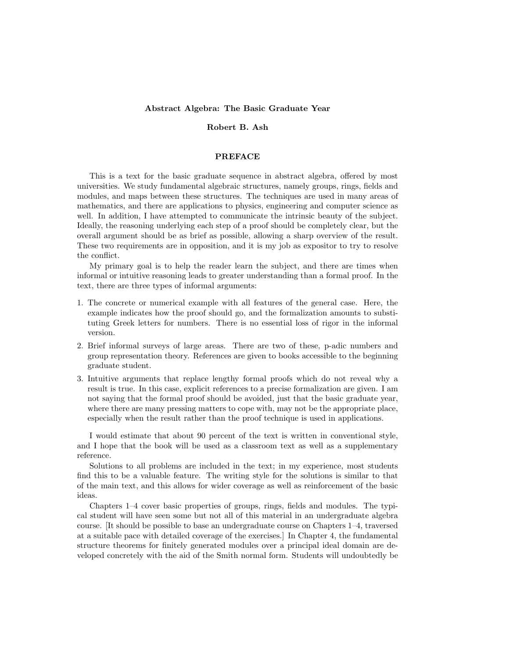#### **Abstract Algebra: The Basic Graduate Year**

### **Robert B. Ash**

### **PREFACE**

This is a text for the basic graduate sequence in abstract algebra, offered by most universities. We study fundamental algebraic structures, namely groups, rings, fields and modules, and maps between these structures. The techniques are used in many areas of mathematics, and there are applications to physics, engineering and computer science as well. In addition, I have attempted to communicate the intrinsic beauty of the subject. Ideally, the reasoning underlying each step of a proof should be completely clear, but the overall argument should be as brief as possible, allowing a sharp overview of the result. These two requirements are in opposition, and it is my job as expositor to try to resolve the conflict.

My primary goal is to help the reader learn the subject, and there are times when informal or intuitive reasoning leads to greater understanding than a formal proof. In the text, there are three types of informal arguments:

- 1. The concrete or numerical example with all features of the general case. Here, the example indicates how the proof should go, and the formalization amounts to substituting Greek letters for numbers. There is no essential loss of rigor in the informal version.
- 2. Brief informal surveys of large areas. There are two of these, p-adic numbers and group representation theory. References are given to books accessible to the beginning graduate student.
- 3. Intuitive arguments that replace lengthy formal proofs which do not reveal why a result is true. In this case, explicit references to a precise formalization are given. I am not saying that the formal proof should be avoided, just that the basic graduate year, where there are many pressing matters to cope with, may not be the appropriate place, especially when the result rather than the proof technique is used in applications.

I would estimate that about 90 percent of the text is written in conventional style, and I hope that the book will be used as a classroom text as well as a supplementary reference.

Solutions to all problems are included in the text; in my experience, most students find this to be a valuable feature. The writing style for the solutions is similar to that of the main text, and this allows for wider coverage as well as reinforcement of the basic ideas.

Chapters 1–4 cover basic properties of groups, rings, fields and modules. The typical student will have seen some but not all of this material in an undergraduate algebra course. [It should be possible to base an undergraduate course on Chapters 1–4, traversed at a suitable pace with detailed coverage of the exercises.] In Chapter 4, the fundamental structure theorems for finitely generated modules over a principal ideal domain are developed concretely with the aid of the Smith normal form. Students will undoubtedly be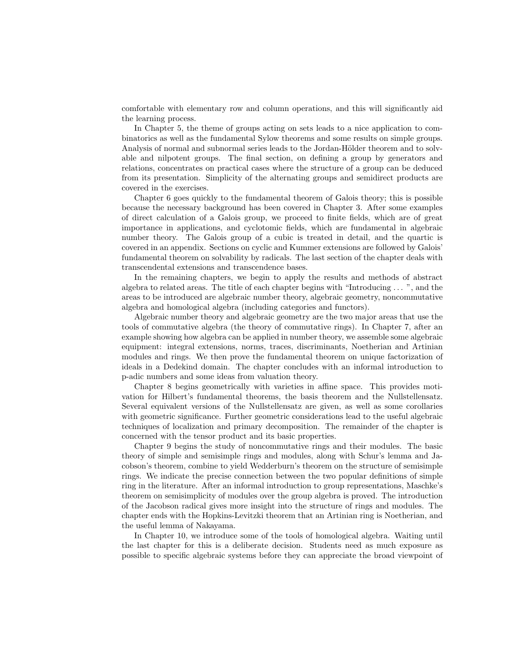comfortable with elementary row and column operations, and this will significantly aid the learning process.

In Chapter 5, the theme of groups acting on sets leads to a nice application to combinatorics as well as the fundamental Sylow theorems and some results on simple groups. Analysis of normal and subnormal series leads to the Jordan-Hölder theorem and to solvable and nilpotent groups. The final section, on defining a group by generators and relations, concentrates on practical cases where the structure of a group can be deduced from its presentation. Simplicity of the alternating groups and semidirect products are covered in the exercises.

Chapter 6 goes quickly to the fundamental theorem of Galois theory; this is possible because the necessary background has been covered in Chapter 3. After some examples of direct calculation of a Galois group, we proceed to finite fields, which are of great importance in applications, and cyclotomic fields, which are fundamental in algebraic number theory. The Galois group of a cubic is treated in detail, and the quartic is covered in an appendix. Sections on cyclic and Kummer extensions are followed by Galois' fundamental theorem on solvability by radicals. The last section of the chapter deals with transcendental extensions and transcendence bases.

In the remaining chapters, we begin to apply the results and methods of abstract algebra to related areas. The title of each chapter begins with "Introducing *...* ", and the areas to be introduced are algebraic number theory, algebraic geometry, noncommutative algebra and homological algebra (including categories and functors).

Algebraic number theory and algebraic geometry are the two major areas that use the tools of commutative algebra (the theory of commutative rings). In Chapter 7, after an example showing how algebra can be applied in number theory, we assemble some algebraic equipment: integral extensions, norms, traces, discriminants, Noetherian and Artinian modules and rings. We then prove the fundamental theorem on unique factorization of ideals in a Dedekind domain. The chapter concludes with an informal introduction to p-adic numbers and some ideas from valuation theory.

Chapter 8 begins geometrically with varieties in affine space. This provides motivation for Hilbert's fundamental theorems, the basis theorem and the Nullstellensatz. Several equivalent versions of the Nullstellensatz are given, as well as some corollaries with geometric significance. Further geometric considerations lead to the useful algebraic techniques of localization and primary decomposition. The remainder of the chapter is concerned with the tensor product and its basic properties.

Chapter 9 begins the study of noncommutative rings and their modules. The basic theory of simple and semisimple rings and modules, along with Schur's lemma and Jacobson's theorem, combine to yield Wedderburn's theorem on the structure of semisimple rings. We indicate the precise connection between the two popular definitions of simple ring in the literature. After an informal introduction to group representations, Maschke's theorem on semisimplicity of modules over the group algebra is proved. The introduction of the Jacobson radical gives more insight into the structure of rings and modules. The chapter ends with the Hopkins-Levitzki theorem that an Artinian ring is Noetherian, and the useful lemma of Nakayama.

In Chapter 10, we introduce some of the tools of homological algebra. Waiting until the last chapter for this is a deliberate decision. Students need as much exposure as possible to specific algebraic systems before they can appreciate the broad viewpoint of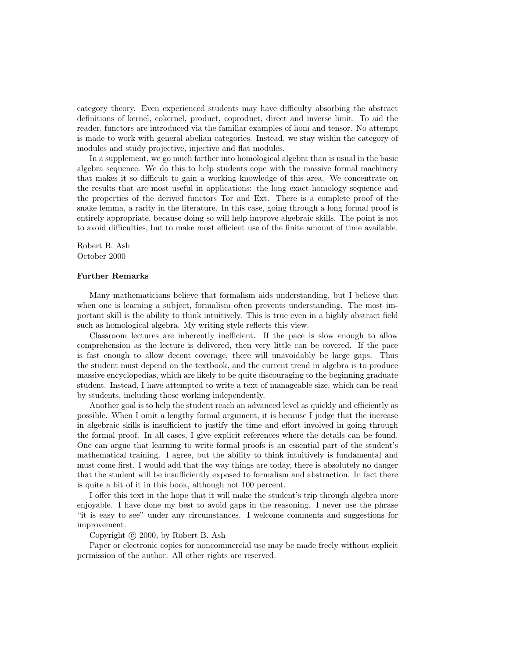category theory. Even experienced students may have difficulty absorbing the abstract definitions of kernel, cokernel, product, coproduct, direct and inverse limit. To aid the reader, functors are introduced via the familiar examples of hom and tensor. No attempt is made to work with general abelian categories. Instead, we stay within the category of modules and study projective, injective and flat modules.

In a supplement, we go much farther into homological algebra than is usual in the basic algebra sequence. We do this to help students cope with the massive formal machinery that makes it so difficult to gain a working knowledge of this area. We concentrate on the results that are most useful in applications: the long exact homology sequence and the properties of the derived functors Tor and Ext. There is a complete proof of the snake lemma, a rarity in the literature. In this case, going through a long formal proof is entirely appropriate, because doing so will help improve algebraic skills. The point is not to avoid difficulties, but to make most efficient use of the finite amount of time available.

Robert B. Ash October 2000

#### **Further Remarks**

Many mathematicians believe that formalism aids understanding, but I believe that when one is learning a subject, formalism often prevents understanding. The most important skill is the ability to think intuitively. This is true even in a highly abstract field such as homological algebra. My writing style reflects this view.

Classroom lectures are inherently inefficient. If the pace is slow enough to allow comprehension as the lecture is delivered, then very little can be covered. If the pace is fast enough to allow decent coverage, there will unavoidably be large gaps. Thus the student must depend on the textbook, and the current trend in algebra is to produce massive encyclopedias, which are likely to be quite discouraging to the beginning graduate student. Instead, I have attempted to write a text of manageable size, which can be read by students, including those working independently.

Another goal is to help the student reach an advanced level as quickly and efficiently as possible. When I omit a lengthy formal argument, it is because I judge that the increase in algebraic skills is insufficient to justify the time and effort involved in going through the formal proof. In all cases, I give explicit references where the details can be found. One can argue that learning to write formal proofs is an essential part of the student's mathematical training. I agree, but the ability to think intuitively is fundamental and must come first. I would add that the way things are today, there is absolutely no danger that the student will be insufficiently exposed to formalism and abstraction. In fact there is quite a bit of it in this book, although not 100 percent.

I offer this text in the hope that it will make the student's trip through algebra more enjoyable. I have done my best to avoid gaps in the reasoning. I never use the phrase "it is easy to see" under any circumstances. I welcome comments and suggestions for improvement.

Copyright (c) 2000, by Robert B. Ash

Paper or electronic copies for noncommercial use may be made freely without explicit permission of the author. All other rights are reserved.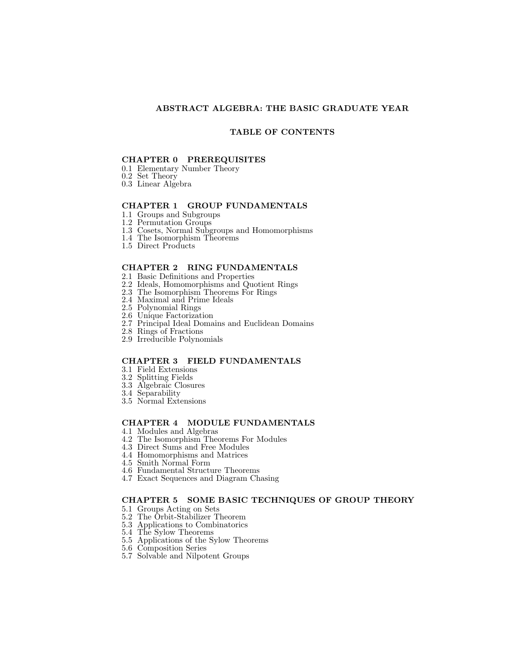#### **ABSTRACT ALGEBRA: THE BASIC GRADUATE YEAR**

### **TABLE OF CONTENTS**

#### **CHAPTER 0 PREREQUISITES**

- 0.1 Elementary Number Theory
- 0.2 Set Theory
- 0.3 Linear Algebra

#### **CHAPTER 1 GROUP FUNDAMENTALS**

- 1.1 Groups and Subgroups
- 1.2 Permutation Groups
- 1.3 Cosets, Normal Subgroups and Homomorphisms
- 1.4 The Isomorphism Theorems
- 1.5 Direct Products

### **CHAPTER 2 RING FUNDAMENTALS**

- 2.1 Basic Definitions and Properties
- 2.2 Ideals, Homomorphisms and Quotient Rings
- 2.3 The Isomorphism Theorems For Rings
- 2.4 Maximal and Prime Ideals
- 2.5 Polynomial Rings
- 2.6 Unique Factorization
- 2.7 Principal Ideal Domains and Euclidean Domains
- 2.8 Rings of Fractions
- 2.9 Irreducible Polynomials

#### **CHAPTER 3 FIELD FUNDAMENTALS**

- 3.1 Field Extensions
- 3.2 Splitting Fields
- 3.3 Algebraic Closures
- 3.4 Separability
- 3.5 Normal Extensions

### **CHAPTER 4 MODULE FUNDAMENTALS**

- 4.1 Modules and Algebras
- 4.2 The Isomorphism Theorems For Modules
- 4.3 Direct Sums and Free Modules
- 4.4 Homomorphisms and Matrices
- 4.5 Smith Normal Form
- 4.6 Fundamental Structure Theorems
- 4.7 Exact Sequences and Diagram Chasing

## **CHAPTER 5 SOME BASIC TECHNIQUES OF GROUP THEORY**

- 5.1 Groups Acting on Sets
- 5.2 The Orbit-Stabilizer Theorem
- 5.3 Applications to Combinatorics
- 5.4 The Sylow Theorems
- 5.5 Applications of the Sylow Theorems
- 5.6 Composition Series
- 5.7 Solvable and Nilpotent Groups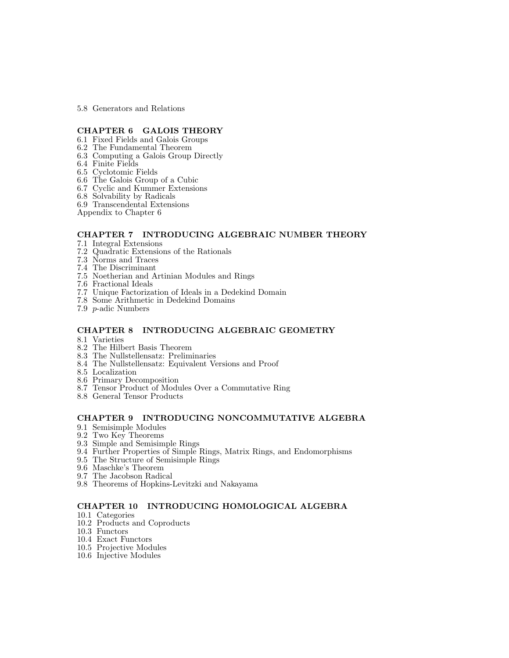5.8 Generators and Relations

## **CHAPTER 6 GALOIS THEORY**

- 6.1 Fixed Fields and Galois Groups
- 6.2 The Fundamental Theorem
- 6.3 Computing a Galois Group Directly
- 6.4 Finite Fields
- 6.5 Cyclotomic Fields
- 6.6 The Galois Group of a Cubic
- 6.7 Cyclic and Kummer Extensions
- 6.8 Solvability by Radicals
- 6.9 Transcendental Extensions
- Appendix to Chapter 6

### **CHAPTER 7 INTRODUCING ALGEBRAIC NUMBER THEORY**

- 7.1 Integral Extensions
- 7.2 Quadratic Extensions of the Rationals
- 7.3 Norms and Traces
- 7.4 The Discriminant
- 7.5 Noetherian and Artinian Modules and Rings
- 7.6 Fractional Ideals
- 7.7 Unique Factorization of Ideals in a Dedekind Domain
- 7.8 Some Arithmetic in Dedekind Domains
- 7.9 *p*-adic Numbers

#### **CHAPTER 8 INTRODUCING ALGEBRAIC GEOMETRY**

- 8.1 Varieties
- 8.2 The Hilbert Basis Theorem
- 8.3 The Nullstellensatz: Preliminaries
- 8.4 The Nullstellensatz: Equivalent Versions and Proof
- 8.5 Localization
- 8.6 Primary Decomposition
- 8.7 Tensor Product of Modules Over a Commutative Ring
- 8.8 General Tensor Products

# **CHAPTER 9 INTRODUCING NONCOMMUTATIVE ALGEBRA**

- 9.1 Semisimple Modules
- 9.2 Two Key Theorems
- 9.3 Simple and Semisimple Rings
- 9.4 Further Properties of Simple Rings, Matrix Rings, and Endomorphisms
- 9.5 The Structure of Semisimple Rings
- 9.6 Maschke's Theorem
- 9.7 The Jacobson Radical
- 9.8 Theorems of Hopkins-Levitzki and Nakayama

# **CHAPTER 10 INTRODUCING HOMOLOGICAL ALGEBRA**

- 10.1 Categories
- 10.2 Products and Coproducts
- 10.3 Functors
- 10.4 Exact Functors
- 10.5 Projective Modules
- 10.6 Injective Modules